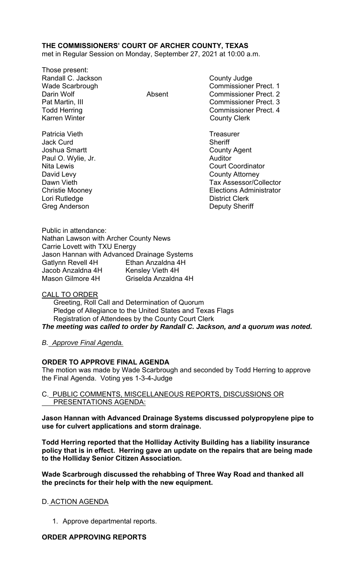# **THE COMMISSIONERS' COURT OF ARCHER COUNTY, TEXAS**

met in Regular Session on Monday, September 27, 2021 at 10:00 a.m.

Those present: Randall C. Jackson **County Judge County Judge** Karren Winter **County Clerk** 

Patricia Vieth **Treasurer** Controllering and Treasurer Jack Curd **Sheriff** Joshua Smartt County Agent Paul O. Wylie, Jr. **Auditor Paul O. Wylie, Jr. Auditor** David Levy **County Attorney** Lori Rutledge **District Clerk** Greg Anderson **Deputy Sheriff** 

Wade Scarbrough Commissioner Prect. 1 Darin Wolf **Absent** Commissioner Prect. 2 Pat Martin, III Commissioner Prect. 3 Todd Herring Todd Exercise Commissioner Prect. 4

Nita Lewis Court Coordinator Dawn Vieth Tax Assessor/Collector Christie Mooney **Elections** Administrator

Public in attendance: Nathan Lawson with Archer County News Carrie Lovett with TXU Energy Jason Hannan with Advanced Drainage Systems Gatlynn Revell 4H Ethan Anzaldna 4H Jacob Anzaldna 4H Kensley Vieth 4H Mason Gilmore 4H Griselda Anzaldna 4H

## CALL TO ORDER

 Greeting, Roll Call and Determination of Quorum Pledge of Allegiance to the United States and Texas Flags Registration of Attendees by the County Court Clerk *The meeting was called to order by Randall C. Jackson, and a quorum was noted.* 

# *B. Approve Final Agenda.*

# **ORDER TO APPROVE FINAL AGENDA**

The motion was made by Wade Scarbrough and seconded by Todd Herring to approve the Final Agenda. Voting yes 1-3-4-Judge

### C. PUBLIC COMMENTS, MISCELLANEOUS REPORTS, DISCUSSIONS OR PRESENTATIONS AGENDA:

**Jason Hannan with Advanced Drainage Systems discussed polypropylene pipe to use for culvert applications and storm drainage.** 

**Todd Herring reported that the Holliday Activity Building has a liability insurance policy that is in effect. Herring gave an update on the repairs that are being made to the Holliday Senior Citizen Association.** 

**Wade Scarbrough discussed the rehabbing of Three Way Road and thanked all the precincts for their help with the new equipment.** 

### D. ACTION AGENDA

1. Approve departmental reports.

### **ORDER APPROVING REPORTS**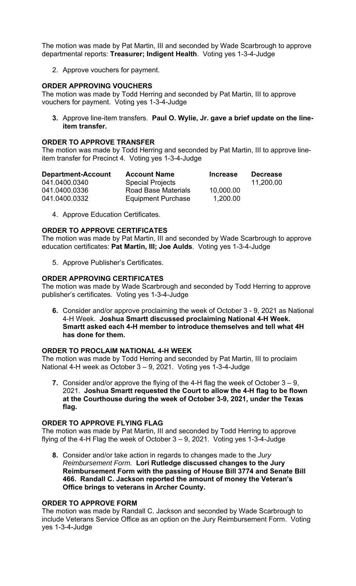The motion was made by Pat Martin, III and seconded by Wade Scarbrough to approve departmental reports: **Treasurer; Indigent Health**. Voting yes 1-3-4-Judge

2. Approve vouchers for payment.

# **ORDER APPROVING VOUCHERS**

The motion was made by Todd Herring and seconded by Pat Martin, III to approve vouchers for payment. Voting yes 1-3-4-Judge

**3.** Approve line-item transfers. **Paul O. Wylie, Jr. gave a brief update on the lineitem transfer.** 

## **ORDER TO APPROVE TRANSFER**

The motion was made by Todd Herring and seconded by Pat Martin, III to approve lineitem transfer for Precinct 4. Voting yes 1-3-4-Judge

| <b>Department-Account</b> | <b>Account Name</b>       | <b>Increase</b> | <b>Decrease</b> |
|---------------------------|---------------------------|-----------------|-----------------|
| 041.0400.0340             | <b>Special Projects</b>   |                 | 11,200.00       |
| 041.0400.0336             | Road Base Materials       | 10,000.00       |                 |
| 041.0400.0332             | <b>Equipment Purchase</b> | 1,200.00        |                 |

4. Approve Education Certificates.

## **ORDER TO APPROVE CERTIFICATES**

The motion was made by Pat Martin, III and seconded by Wade Scarbrough to approve education certificates: **Pat Martin, III; Joe Aulds**. Voting yes 1-3-4-Judge

5. Approve Publisher's Certificates.

## **ORDER APPROVING CERTIFICATES**

The motion was made by Wade Scarbrough and seconded by Todd Herring to approve publisher's certificates. Voting yes 1-3-4-Judge

**6.** Consider and/or approve proclaiming the week of October 3 - 9, 2021 as National 4-H Week. **Joshua Smartt discussed proclaiming National 4-H Week. Smartt asked each 4-H member to introduce themselves and tell what 4H has done for them.** 

## **ORDER TO PROCLAIM NATIONAL 4-H WEEK**

The motion was made by Todd Herring and seconded by Pat Martin, III to proclaim National 4-H week as October 3 – 9, 2021. Voting yes 1-3-4-Judge

**7.** Consider and/or approve the flying of the 4-H flag the week of October 3 – 9, 2021. **Joshua Smartt requested the Court to allow the 4-H flag to be flown at the Courthouse during the week of October 3-9, 2021, under the Texas flag.** 

## **ORDER TO APPROVE FLYING FLAG**

The motion was made by Pat Martin, III and seconded by Todd Herring to approve flying of the 4-H Flag the week of October  $3 - 9$ , 2021. Voting yes 1-3-4-Judge

**8.** Consider and/or take action in regards to changes made to the *Jury Reimbursement Form.* **Lori Rutledge discussed changes to the Jury Reimbursement Form with the passing of House Bill 3774 and Senate Bill 466. Randall C. Jackson reported the amount of money the Veteran's Office brings to veterans in Archer County.** 

### **ORDER TO APPROVE FORM**

The motion was made by Randall C. Jackson and seconded by Wade Scarbrough to include Veterans Service Office as an option on the Jury Reimbursement Form. Voting yes 1-3-4-Judge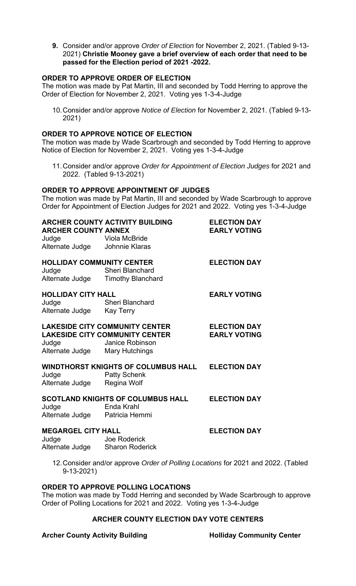**9.** Consider and/or approve *Order of Election* for November 2, 2021. (Tabled 9-13- 2021) **Christie Mooney gave a brief overview of each order that need to be passed for the Election period of 2021 -2022.** 

# **ORDER TO APPROVE ORDER OF ELECTION**

The motion was made by Pat Martin, III and seconded by Todd Herring to approve the Order of Election for November 2, 2021. Voting yes 1-3-4-Judge

10. Consider and/or approve *Notice of Election* for November 2, 2021. (Tabled 9-13- 2021)

# **ORDER TO APPROVE NOTICE OF ELECTION**

The motion was made by Wade Scarbrough and seconded by Todd Herring to approve Notice of Election for November 2, 2021. Voting yes 1-3-4-Judge

11. Consider and/or approve *Order for Appointment of Election Judges* for 2021 and 2022. (Tabled 9-13-2021)

# **ORDER TO APPROVE APPOINTMENT OF JUDGES**

The motion was made by Pat Martin, III and seconded by Wade Scarbrough to approve Order for Appointment of Election Judges for 2021 and 2022. Voting yes 1-3-4-Judge

| <b>ARCHER COUNTY ANNEX</b>                       | <b>ARCHER COUNTY ACTIVITY BUILDING</b>                                   | <b>ELECTION DAY</b><br><b>EARLY VOTING</b> |
|--------------------------------------------------|--------------------------------------------------------------------------|--------------------------------------------|
| Judge                                            | Viola McBride                                                            |                                            |
| Alternate Judge                                  | Johnnie Klaras                                                           |                                            |
| <b>HOLLIDAY COMMUNITY CENTER</b>                 |                                                                          | <b>ELECTION DAY</b>                        |
| Judge                                            | <b>Sheri Blanchard</b>                                                   |                                            |
| Alternate Judge                                  | <b>Timothy Blanchard</b>                                                 |                                            |
| <b>HOLLIDAY CITY HALL</b>                        |                                                                          | <b>EARLY VOTING</b>                        |
| Judge                                            | <b>Sheri Blanchard</b>                                                   |                                            |
| Alternate Judge                                  | <b>Kay Terry</b>                                                         |                                            |
|                                                  | <b>LAKESIDE CITY COMMUNITY CENTER</b>                                    | <b>ELECTION DAY</b>                        |
|                                                  | <b>LAKESIDE CITY COMMUNITY CENTER</b>                                    | <b>EARLY VOTING</b>                        |
| Judge                                            | Janice Robinson                                                          |                                            |
| Alternate Judge                                  | <b>Mary Hutchings</b>                                                    |                                            |
| WINDTHORST KNIGHTS OF COLUMBUS HALL ELECTION DAY |                                                                          |                                            |
| Judge                                            | <b>Patty Schenk</b>                                                      |                                            |
| Alternate Judge                                  | Regina Wolf                                                              |                                            |
| SCOTLAND KNIGHTS OF COLUMBUS HALL ELECTION DAY   |                                                                          |                                            |
| Judge                                            | Enda Krahl                                                               |                                            |
| Alternate Judge Patricia Hemmi                   |                                                                          |                                            |
| <b>MEGARGEL CITY HALL</b>                        |                                                                          | <b>ELECTION DAY</b>                        |
| Judge                                            | Joe Roderick                                                             |                                            |
| Alternate Judge                                  | <b>Sharon Roderick</b>                                                   |                                            |
|                                                  | 12. Consider and/or approve Order of Polling Locations for 2021 and 2022 |                                            |

approve *Order of Polling Locations* for 2021 and 2022. (Tabled 9-13-2021)

## **ORDER TO APPROVE POLLING LOCATIONS**

The motion was made by Todd Herring and seconded by Wade Scarbrough to approve Order of Polling Locations for 2021 and 2022. Voting yes 1-3-4-Judge

# **ARCHER COUNTY ELECTION DAY VOTE CENTERS**

### Archer County Activity Building **Noting Strutter and Holliday Community Center**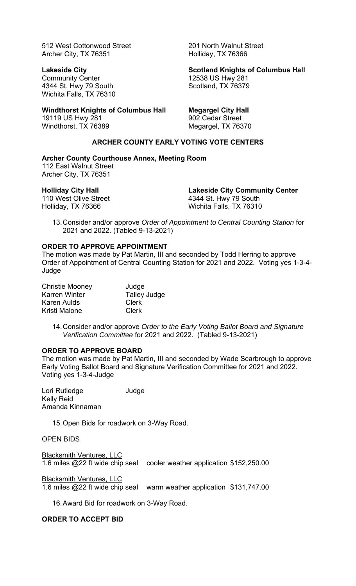512 West Cottonwood Street 201 North Walnut Street Archer City, TX 76351 Holliday, TX 76366

Community Center 12538 US Hwy 281<br>4344 St. Hwy 79 South 12538 US Hwy 281 4344 St. Hwy 79 South Wichita Falls, TX 76310

**Windthorst Knights of Columbus Hall Megargel City Hall**  19119 US Hwy 281 902 Cedar Street Windthorst, TX 76389 Megargel, TX 76370

Lakeside City **Scotland Knights of Columbus Hall** 

# **ARCHER COUNTY EARLY VOTING VOTE CENTERS**

**Archer County Courthouse Annex, Meeting Room**  112 East Walnut Street

Archer City, TX 76351

Holliday, TX 76366 Wichita Falls, TX 76310

**Holliday City Hall Community Center Lakeside City Community Center** 110 West Olive Street 10 2008 1344 St. Hwy 79 South

13. Consider and/or approve *Order of Appointment to Central Counting Station* for 2021 and 2022. (Tabled 9-13-2021)

## **ORDER TO APPROVE APPOINTMENT**

The motion was made by Pat Martin, III and seconded by Todd Herring to approve Order of Appointment of Central Counting Station for 2021 and 2022. Voting yes 1-3-4- Judge

Christie Mooney Judge Karren Winter Talley Judge Karen Aulds Clerk Kristi Malone Clerk

14. Consider and/or approve *Order to the Early Voting Ballot Board and Signature Verification Committee* for 2021 and 2022. (Tabled 9-13-2021)

# **ORDER TO APPROVE BOARD**

The motion was made by Pat Martin, III and seconded by Wade Scarbrough to approve Early Voting Ballot Board and Signature Verification Committee for 2021 and 2022. Voting yes 1-3-4-Judge

Lori Rutledge **Judge** Kelly Reid Amanda Kinnaman

15. Open Bids for roadwork on 3-Way Road.

OPEN BIDS

Blacksmith Ventures, LLC 1.6 miles @22 ft wide chip seal cooler weather application \$152,250.00

**Blacksmith Ventures, LLC** 1.6 miles @22 ft wide chip seal warm weather application \$131,747.00

16. Award Bid for roadwork on 3-Way Road.

### **ORDER TO ACCEPT BID**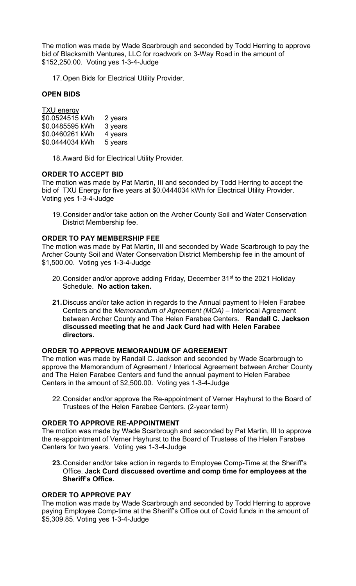The motion was made by Wade Scarbrough and seconded by Todd Herring to approve bid of Blacksmith Ventures, LLC for roadwork on 3-Way Road in the amount of \$152,250.00. Voting yes 1-3-4-Judge

17. Open Bids for Electrical Utility Provider.

# **OPEN BIDS**

TXU energy

| \$0.0524515 kWh | 2 years |
|-----------------|---------|
| \$0.0485595 kWh | 3 years |
| \$0.0460261 kWh | 4 years |
| \$0.0444034 kWh | 5 years |

18. Award Bid for Electrical Utility Provider.

### **ORDER TO ACCEPT BID**

The motion was made by Pat Martin, III and seconded by Todd Herring to accept the bid of TXU Energy for five years at \$0.0444034 kWh for Electrical Utility Provider. Voting yes 1-3-4-Judge

19. Consider and/or take action on the Archer County Soil and Water Conservation District Membership fee.

### **ORDER TO PAY MEMBERSHIP FEE**

The motion was made by Pat Martin, III and seconded by Wade Scarbrough to pay the Archer County Soil and Water Conservation District Membership fee in the amount of \$1,500.00. Voting yes 1-3-4-Judge

- 20. Consider and/or approve adding Friday, December 31<sup>st</sup> to the 2021 Holiday Schedule. **No action taken.**
- **21.** Discuss and/or take action in regards to the Annual payment to Helen Farabee Centers and the *Memorandum of Agreement (MOA) –* Interlocal Agreement between Archer County and The Helen Farabee Centers. **Randall C. Jackson discussed meeting that he and Jack Curd had with Helen Farabee directors.**

### **ORDER TO APPROVE MEMORANDUM OF AGREEMENT**

The motion was made by Randall C. Jackson and seconded by Wade Scarbrough to approve the Memorandum of Agreement / Interlocal Agreement between Archer County and The Helen Farabee Centers and fund the annual payment to Helen Farabee Centers in the amount of \$2,500.00. Voting yes 1-3-4-Judge

22. Consider and/or approve the Re-appointment of Verner Hayhurst to the Board of Trustees of the Helen Farabee Centers. (2-year term)

# **ORDER TO APPROVE RE-APPOINTMENT**

The motion was made by Wade Scarbrough and seconded by Pat Martin, III to approve the re-appointment of Verner Hayhurst to the Board of Trustees of the Helen Farabee Centers for two years. Voting yes 1-3-4-Judge

**23.** Consider and/or take action in regards to Employee Comp-Time at the Sheriff's Office. **Jack Curd discussed overtime and comp time for employees at the Sheriff's Office.** 

## **ORDER TO APPROVE PAY**

The motion was made by Wade Scarbrough and seconded by Todd Herring to approve paying Employee Comp-time at the Sheriff's Office out of Covid funds in the amount of \$5,309.85. Voting yes 1-3-4-Judge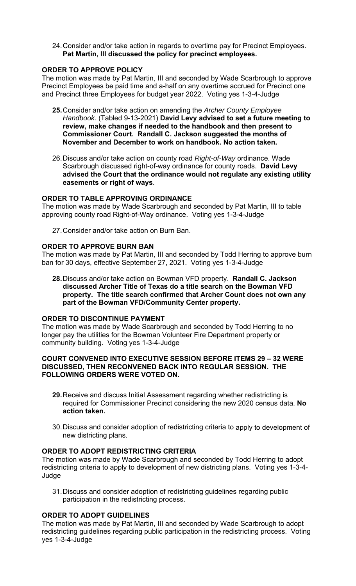24. Consider and/or take action in regards to overtime pay for Precinct Employees. **Pat Martin, III discussed the policy for precinct employees.**

# **ORDER TO APPROVE POLICY**

The motion was made by Pat Martin, III and seconded by Wade Scarbrough to approve Precinct Employees be paid time and a-half on any overtime accrued for Precinct one and Precinct three Employees for budget year 2022. Voting yes 1-3-4-Judge

- **25.** Consider and/or take action on amending the *Archer County Employee Handbook.* (Tabled 9-13-2021) **David Levy advised to set a future meeting to review, make changes if needed to the handbook and then present to Commissioner Court. Randall C. Jackson suggested the months of November and December to work on handbook. No action taken.**
- 26. Discuss and/or take action on county road *Right-of-Way* ordinance. Wade Scarbrough discussed right-of-way ordinance for county roads. **David Levy advised the Court that the ordinance would not regulate any existing utility easements or right of ways**.

## **ORDER TO TABLE APPROVING ORDINANCE**

The motion was made by Wade Scarbrough and seconded by Pat Martin, III to table approving county road Right-of-Way ordinance. Voting yes 1-3-4-Judge

27. Consider and/or take action on Burn Ban.

# **ORDER TO APPROVE BURN BAN**

The motion was made by Pat Martin, III and seconded by Todd Herring to approve burn ban for 30 days, effective September 27, 2021. Voting yes 1-3-4-Judge

**28.** Discuss and/or take action on Bowman VFD property. **Randall C. Jackson discussed Archer Title of Texas do a title search on the Bowman VFD property. The title search confirmed that Archer Count does not own any part of the Bowman VFD/Community Center property.** 

### **ORDER TO DISCONTINUE PAYMENT**

The motion was made by Wade Scarbrough and seconded by Todd Herring to no longer pay the utilities for the Bowman Volunteer Fire Department property or community building. Voting yes 1-3-4-Judge

## **COURT CONVENED INTO EXECUTIVE SESSION BEFORE ITEMS 29 – 32 WERE DISCUSSED, THEN RECONVENED BACK INTO REGULAR SESSION. THE FOLLOWING ORDERS WERE VOTED ON.**

- **29.** Receive and discuss Initial Assessment regarding whether redistricting is required for Commissioner Precinct considering the new 2020 census data. **No action taken.**
- 30. Discuss and consider adoption of redistricting criteria to apply to development of new districting plans.

### **ORDER TO ADOPT REDISTRICTING CRITERIA**

The motion was made by Wade Scarbrough and seconded by Todd Herring to adopt redistricting criteria to apply to development of new districting plans. Voting yes 1-3-4- Judge

31. Discuss and consider adoption of redistricting guidelines regarding public participation in the redistricting process.

# **ORDER TO ADOPT GUIDELINES**

The motion was made by Pat Martin, III and seconded by Wade Scarbrough to adopt redistricting guidelines regarding public participation in the redistricting process. Voting yes 1-3-4-Judge